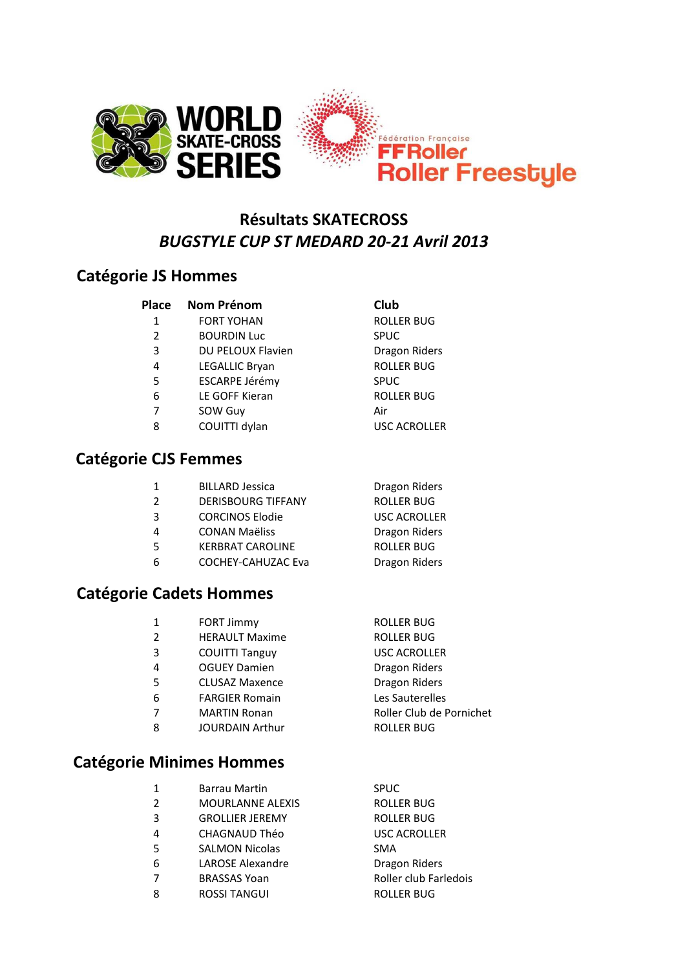

### **Résultats SKATECROSS** *BUGSTYLE CUP ST MEDARD 20-21 Avril 2013*

#### **Catégorie JS Hommes**

#### **Place Nom Prénom Club**

- 1 FORT YOHAN ROLLER BUG
- 2 BOURDIN Luc SPUC
- 3 DU PELOUX Flavien Dragon Riders
- 4 LEGALLIC Bryan ROLLER BUG
- 5 ESCARPE Jérémy SPUC
- 6 LE GOFF Kieran ROLLER BUG
- 7 SOW Guy Air
- 8 COUITTI dylan USC ACROLLER

#### **Catégorie CJS Femmes**

| 1 | <b>BILLARD Jessica</b>    | Dragon Riders     |
|---|---------------------------|-------------------|
| 2 | <b>DERISBOURG TIFFANY</b> | <b>ROLLER BUG</b> |
| 3 | <b>CORCINOS Elodie</b>    | USC ACROLLER      |
| 4 | <b>CONAN Maëliss</b>      | Dragon Riders     |
| 5 | <b>KERBRAT CAROLINE</b>   | <b>ROLLER BUG</b> |

6 COCHEY-CAHUZAC Eva Dragon Riders

#### **Catégorie Cadets Hommes**

| 1 | <b>FORT Jimmy</b>      | <b>ROLLER BUG</b>        |
|---|------------------------|--------------------------|
| 2 | <b>HERAULT Maxime</b>  | <b>ROLLER BUG</b>        |
| 3 | <b>COUITTI Tanguy</b>  | <b>USC ACROLLER</b>      |
| 4 | <b>OGUEY Damien</b>    | Dragon Riders            |
| 5 | <b>CLUSAZ Maxence</b>  | <b>Dragon Riders</b>     |
| 6 | <b>FARGIER Romain</b>  | Les Sauterelles          |
| 7 | <b>MARTIN Ronan</b>    | Roller Club de Pornichet |
| 8 | <b>JOURDAIN Arthur</b> | <b>ROLLER BUG</b>        |
|   |                        |                          |

#### **Catégorie Minimes Hommes**

| Barrau Martin           | <b>SPUC</b>         |
|-------------------------|---------------------|
| <b>MOURLANNE ALEXIS</b> | <b>ROLLER BUG</b>   |
| <b>GROLLIER JEREMY</b>  | <b>ROLLER BUG</b>   |
| <b>CHAGNAUD Théo</b>    | <b>USC ACROLLER</b> |
| <b>SALMON Nicolas</b>   | <b>SMA</b>          |
| <b>LAROSE Alexandre</b> | Dragon Riders       |
|                         |                     |

- 
- 8 ROSSI TANGUI ROLLER BUG
- 7 BRASSAS Yoan Roller club Farledois